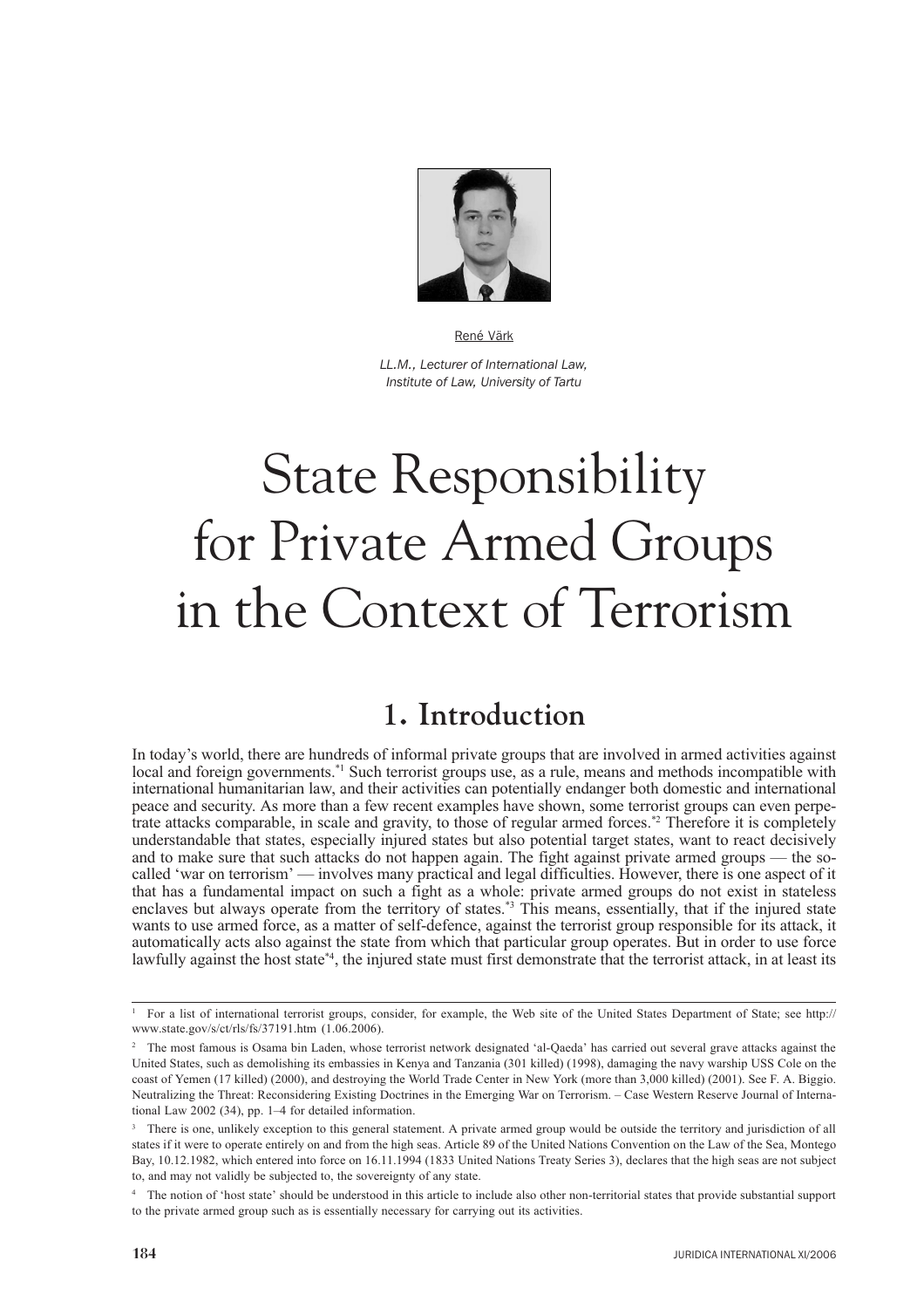

LL.M., Lecturer of International Law. Institute of Law, University of Tartu

# **State Responsibility** for Private Armed Groups in the Context of Terrorism

# 1. Introduction

In today's world, there are hundreds of informal private groups that are involved in armed activities against local and foreign governments.<sup>\*1</sup> Such terrorist groups use, as a rule, means and methods incompatible with international humanitarian law, and their activities can potentially endanger both domestic and international peace and security. As more than a few recent examples have shown, some terrorist groups can even perpetrate attacks comparable, in scale and gravity, to those of regular armed forces.<sup>\*2</sup> Therefore it is completely understandable that states, especially injured states but also potential target states, want to react decisively and to make sure that such attacks do not happen again. The fight against private armed groups — the socalled 'war on terrorism' — involves many practical and legal difficulties. However, there is one aspect of it that has a fundamental impact on such a fight as a whole: private armed groups do not exist in stateless enclaves but always operate from the territory of states.<sup>\*3</sup> This means, essentially, that if the injured state wants to use armed force, as a matter of self-defence, against the terrorist group responsible for its attack, it automatically acts also against the state from which that particular group operates. But in order to use force lawfully against the host state\*4, the injured state must first demonstrate that the terrorist attack, in at least its

<sup>&</sup>lt;sup>1</sup> For a list of international terrorist groups, consider, for example, the Web site of the United States Department of State; see http:// www.state.gov/s/ct/rls/fs/37191.htm (1.06.2006).

<sup>&</sup>lt;sup>2</sup> The most famous is Osama bin Laden, whose terrorist network designated 'al-Oaeda' has carried out several grave attacks against the United States, such as demolishing its embassies in Kenya and Tanzania (301 killed) (1998), damaging the navy warship USS Cole on the coast of Yemen (17 killed) (2000), and destroying the World Trade Center in New York (more than 3,000 killed) (2001). See F. A. Biggio. Neutralizing the Threat: Reconsidering Existing Doctrines in the Emerging War on Terrorism. - Case Western Reserve Journal of International Law 2002 (34), pp. 1-4 for detailed information.

<sup>&</sup>lt;sup>3</sup> There is one, unlikely exception to this general statement. A private armed group would be outside the territory and jurisdiction of all states if it were to operate entirely on and from the high seas. Article 89 of the United Nations Convention on the Law of the Sea, Montego Bay, 10.12.1982, which entered into force on 16.11.1994 (1833 United Nations Treaty Series 3), declares that the high seas are not subject to, and may not validly be subjected to, the sovereignty of any state.

<sup>&</sup>lt;sup>4</sup> The notion of 'host state' should be understood in this article to include also other non-territorial states that provide substantial support to the private armed group such as is essentially necessary for carrying out its activities.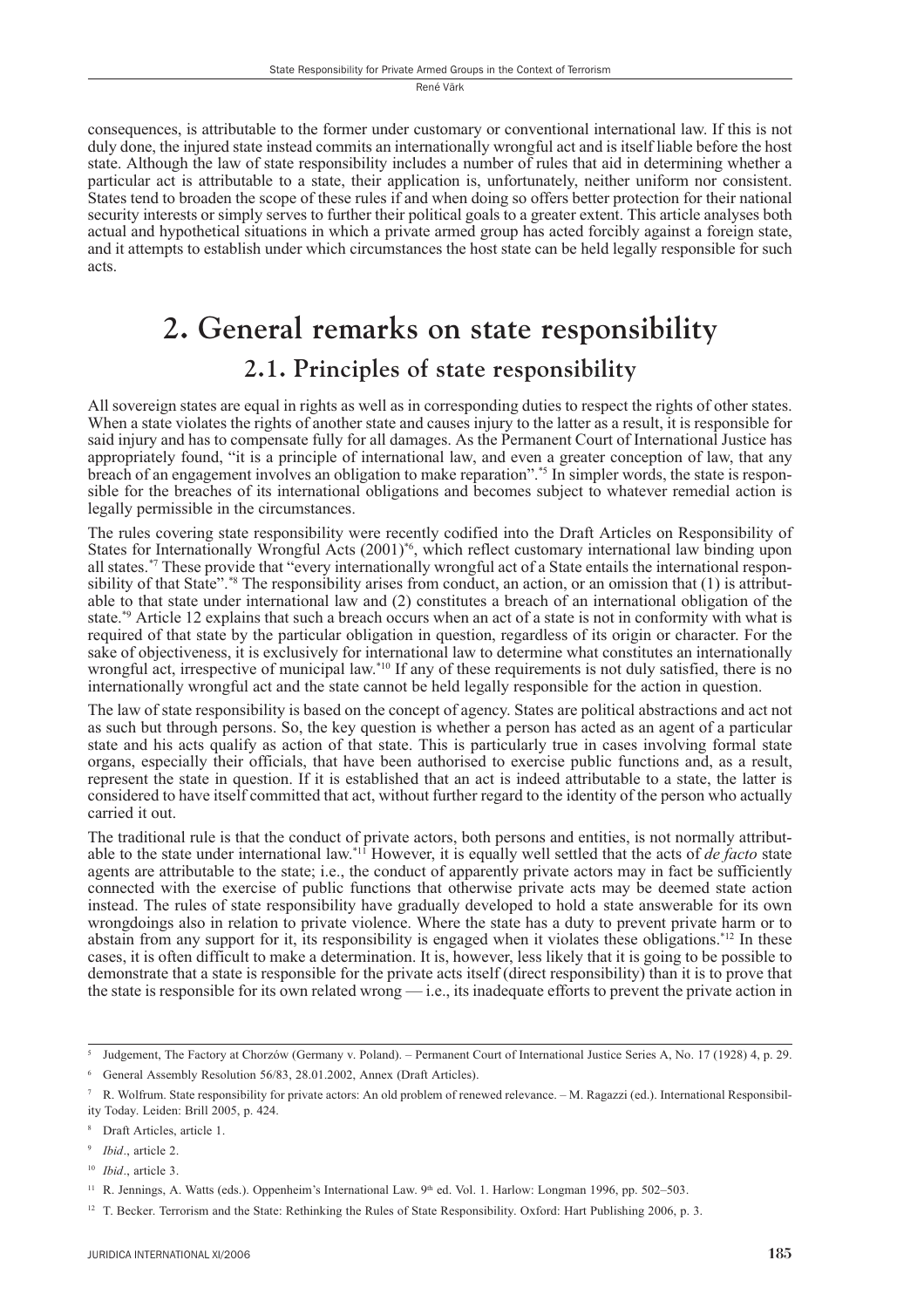consequences, is attributable to the former under customary or conventional international law. If this is not duly done, the injured state instead commits an internationally wrongful act and is itself liable before the host state. Although the law of state responsibility includes a number of rules that aid in determining whether a particular act is attributable to a state, their application is, unfortunately, neither uniform nor consistent. States tend to broaden the scope of these rules if and when doing so offers better protection for their national security interests or simply serves to further their political goals to a greater extent. This article analyses both actual and hypothetical situations in which a private armed group has acted forcibly against a foreign state, and it attempts to establish under which circumstances the host state can be held legally responsible for such acts.

# 2. General remarks on state responsibility 2.1. Principles of state responsibility

All sovereign states are equal in rights as well as in corresponding duties to respect the rights of other states. When a state violates the rights of another state and causes injury to the latter as a result, it is responsible for said injury and has to compensate fully for all damages. As the Permanent Court of International Justice has appropriately found, "it is a principle of international law, and even a greater conception of law, that any breach of an engagement involves an obligation to make reparation".<sup>\*5</sup> In simpler words, the state is responsible for the breaches of its international obligations and becomes subject to whatever remedial action is legally permissible in the circumstances.

The rules covering state responsibility were recently codified into the Draft Articles on Responsibility of States for Internationally Wrongful Acts (2001)<sup>\*6</sup>, which reflect customary international law binding upon all states.<sup>\*7</sup> These provide that "every internationally wrongful act of a State entails the international responsibility of that State".\*\* The responsibility arises from conduct, an action, or an omission that (1) is attributable to that state under international law and (2) constitutes a breach of an international obligation of the state.<sup>\*9</sup> Article 12 explains that such a breach occurs when an act of a state is not in conformity with what is required of that state by the particular obligation in question, regardless of its origin or character. For the sake of objectiveness, it is exclusively for international law to determine what constitutes an internationally wrongful act, irrespective of municipal law.<sup>\*10</sup> If any of these requirements is not duly satisfied, there is no internationally wrongful act and the state cannot be held legally responsible for the action in question.

The law of state responsibility is based on the concept of agency. States are political abstractions and act not as such but through persons. So, the key question is whether a person has acted as an agent of a particular state and his acts qualify as action of that state. This is particularly true in cases involving formal state organs, especially their officials, that have been authorised to exercise public functions and, as a result, represent the state in question. If it is established that an act is indeed attributable to a state, the latter is considered to have itself committed that act, without further regard to the identity of the person who actually carried it out.

The traditional rule is that the conduct of private actors, both persons and entities, is not normally attributable to the state under international law.<sup>\*11</sup> However, it is equally well settled that the acts of *de facto* state agents are attributable to the state; i.e., the conduct of apparently private actors may in fact be sufficiently connected with the exercise of public functions that otherwise private acts may be deemed state action instead. The rules of state responsibility have gradually developed to hold a state answerable for its own wrongdoings also in relation to private violence. Where the state has a duty to prevent private harm or to abstain from any support for it, its responsibility is engaged when it violates these obligations.<sup>\*12</sup> In these cases, it is often difficult to make a determination. It is, however, less likely that it is going to be possible to demonstrate that a state is responsible for the private acts itself (direct responsibility) than it is to prove that the state is responsible for its own related wrong — i.e., its inadequate efforts to prevent the private action in

<sup>&</sup>lt;sup>5</sup> Judgement, The Factory at Chorzów (Germany v. Poland). – Permanent Court of International Justice Series A, No. 17 (1928) 4, p. 29.

<sup>6</sup> General Assembly Resolution 56/83, 28.01.2002, Annex (Draft Articles).

R. Wolfrum. State responsibility for private actors: An old problem of renewed relevance. - M. Ragazzi (ed.). International Responsibility Today. Leiden: Brill 2005, p. 424.

<sup>&</sup>lt;sup>8</sup> Draft Articles, article 1.

 $9$  *Ibid*., article 2.

 $10$  *Ibid.*, article 3.

<sup>&</sup>lt;sup>11</sup> R. Jennings, A. Watts (eds.). Oppenheim's International Law. 9th ed. Vol. 1. Harlow: Longman 1996, pp. 502–503.

<sup>&</sup>lt;sup>12</sup> T. Becker. Terrorism and the State: Rethinking the Rules of State Responsibility. Oxford: Hart Publishing 2006, p. 3.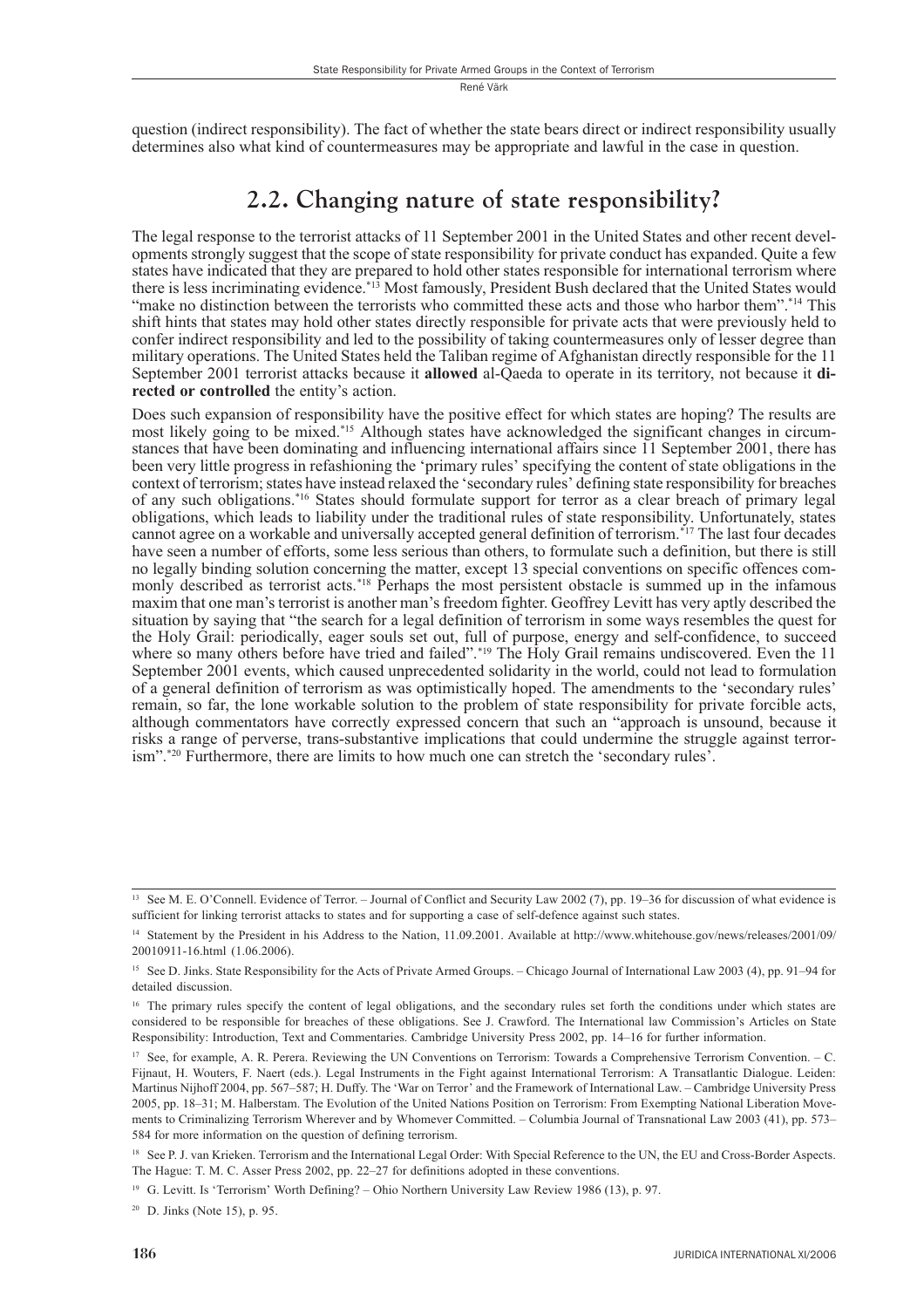question (indirect responsibility). The fact of whether the state bears direct or indirect responsibility usually determines also what kind of countermeasures may be appropriate and lawful in the case in question.

## 2.2. Changing nature of state responsibility?

The legal response to the terrorist attacks of 11 September 2001 in the United States and other recent developments strongly suggest that the scope of state responsibility for private conduct has expanded. Quite a few states have indicated that they are prepared to hold other states responsible for international terrorism where<br>there is less incriminating evidence.<sup>\*13</sup> Most famously, President Bush declared that the United States would shift hints that states may hold other states directly responsible for private acts that were previously held to confer indirect responsibility and led to the possibility of taking countermeasures only of lesser degree than military operations. The United States held the Taliban regime of Afghanistan directly responsible for the 11 September 2001 terrorist attacks because it allowed al-Oaeda to operate in its territory, not because it directed or controlled the entity's action.

Does such expansion of responsibility have the positive effect for which states are hoping? The results are most likely going to be mixed.<sup>\*15</sup> Although states have acknowledged the significant changes in circumstances that have been dominating and influencing international affairs since 11 September 2001, there has been very little progress in refashioning the 'primary rules' specifying the content of state obligations in the context of terrorism; states have instead relaxed the 'secondary rules' defining state responsibility for breaches of any such obligations.\*<sup>16</sup> States should formulate support for terror as a clear breach of primary legal obligations, which leads to liability under the traditional rules of state responsibility. Unfortunately, states cannot agree on a workable and universally accepted general definition of terrorism.<sup>\*17</sup> The last four decades have seen a number of efforts, some less serious than others, to formulate such a definition, but there is still no legally binding solution concerning the matter, except 13 special conventions on specific offences commonly described as terrorist acts.<sup>\*18</sup> Perhaps the most persistent obstacle is summed up in the infamous maxim that one man's terrorist is another man's freedom fighter. Geoffrey Levitt has very aptly described the situation by saying that "the search for a legal definition of terrorism in some ways resembles the quest for the Holy Grail: periodically, eager souls set out, full of purpose, energy and self-confidence, to succeed where so many others before have tried and failed".<sup>\*19</sup> The Holy Grail remains undiscovered. Even the 11 September 2001 events, which caused unprecedented solidarity in the world, could not lead to formulation of a general definition of terrorism as was optimistically hoped. The amendments to the 'secondary rules' remain, so far, the lone workable solution to the problem of state responsibility for private forcible acts, although commentators have correctly expressed concern that such an "approach is unsound, because it risks a range of perverse, trans-substantive implications that could undermine the struggle against terrorism".\*20 Furthermore, there are limits to how much one can stretch the 'secondary rules'.

<sup>19</sup> G. Levitt. Is 'Terrorism' Worth Defining? – Ohio Northern University Law Review 1986 (13), p. 97.

<sup>20</sup> D. Jinks (Note 15), p. 95.

<sup>&</sup>lt;sup>13</sup> See M. E. O'Connell. Evidence of Terror. – Journal of Conflict and Security Law 2002 (7), pp. 19–36 for discussion of what evidence is sufficient for linking terrorist attacks to states and for supporting a case of self-defence against such states.

<sup>&</sup>lt;sup>14</sup> Statement by the President in his Address to the Nation, 11.09.2001. Available at http://www.whitehouse.gov/news/releases/2001/09/ 20010911-16.html (1.06.2006).

<sup>&</sup>lt;sup>15</sup> See D. Jinks. State Responsibility for the Acts of Private Armed Groups. - Chicago Journal of International Law 2003 (4), pp. 91-94 for detailed discussion.

<sup>&</sup>lt;sup>16</sup> The primary rules specify the content of legal obligations, and the secondary rules set forth the conditions under which states are considered to be responsible for breaches of these obligations. See J. Crawford. The International law Commission's Articles on State Responsibility: Introduction, Text and Commentaries. Cambridge University Press 2002, pp. 14–16 for further information.

<sup>&</sup>lt;sup>17</sup> See, for example, A. R. Perera. Reviewing the UN Conventions on Terrorism: Towards a Comprehensive Terrorism Convention. - C. Fijnaut, H. Wouters, F. Naert (eds.). Legal Instruments in the Fight against International Terrorism: A Transatlantic Dialogue. Leiden: Martinus Nijhoff 2004, pp. 567-587; H. Duffy. The 'War on Terror' and the Framework of International Law. - Cambridge University Press 2005, pp. 18–31; M. Halberstam, The Evolution of the United Nations Position on Terrorism; From Exempting National Liberation Movements to Criminalizing Terrorism Wherever and by Whomever Committed. – Columbia Journal of Transnational Law 2003 (41), pp. 573– 584 for more information on the question of defining terrorism.

<sup>&</sup>lt;sup>18</sup> See P. J. van Krieken. Terrorism and the International Legal Order: With Special Reference to the UN, the EU and Cross-Border Aspects. The Hague: T. M. C. Asser Press 2002, pp. 22-27 for definitions adopted in these conventions.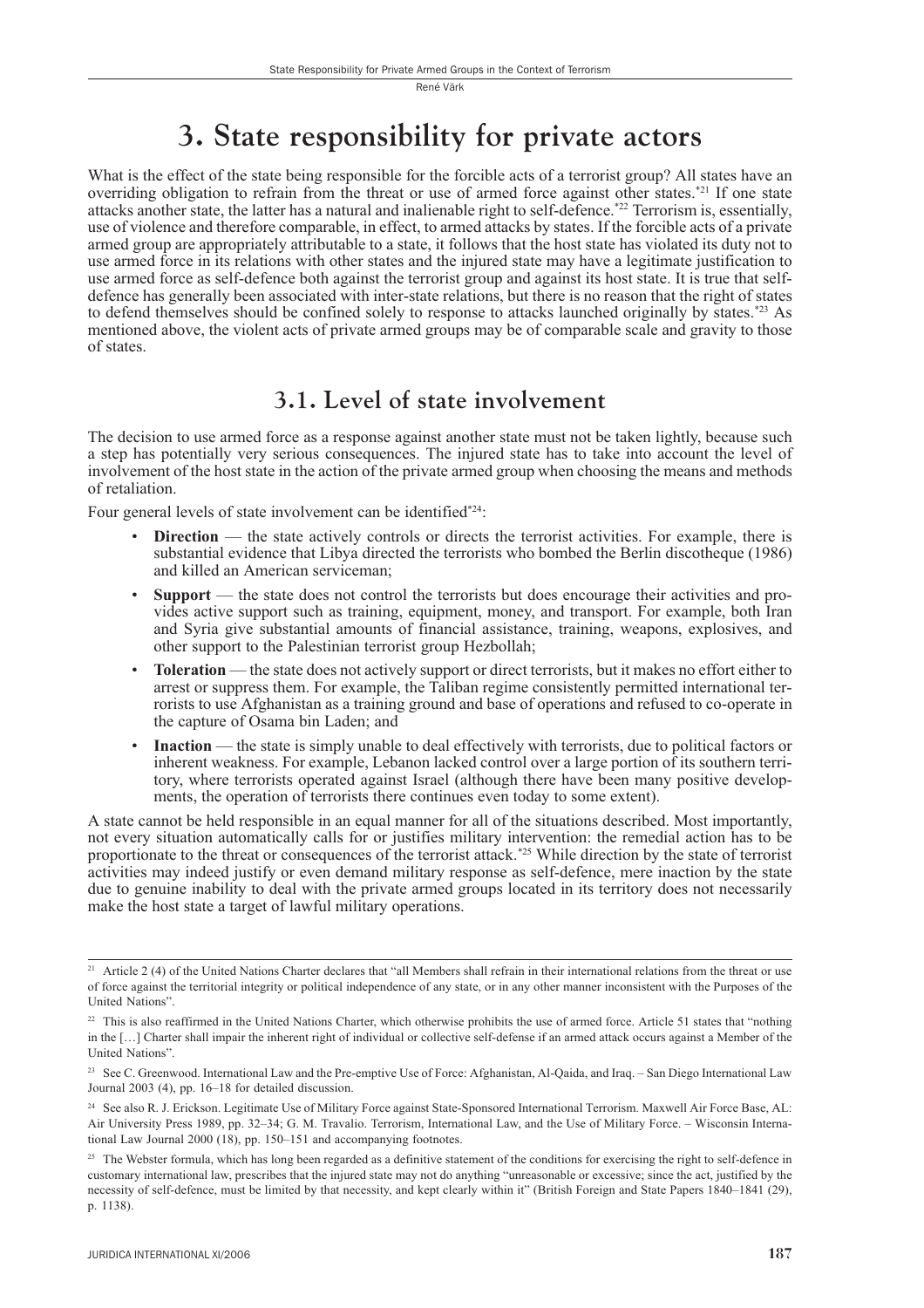# 3. State responsibility for private actors

What is the effect of the state being responsible for the forcible acts of a terrorist group? All states have an overriding obligation to refrain from the threat or use of armed force against other states.<sup>\*21</sup> If one state attacks another state, the latter has a natural and inalienable right to self-defence.\*22 Terrorism is, essentially, use of violence and therefore comparable, in effect, to armed attacks by states. If the forcible acts of a private armed group are appropriately attributable to a state, it follows that the host state has violated its duty not to use armed force in its relations with other states and the injured state may have a legitimate justification to use armed force as self-defence both against the terrorist group and against its host state. It is true that selfdefence has generally been associated with inter-state relations, but there is no reason that the right of states to defend themselves should be confined solely to response to attacks launched originally by states.\*23 As mentioned above, the violent acts of private armed groups may be of comparable scale and gravity to those of states.

### 3.1. Level of state involvement

The decision to use armed force as a response against another state must not be taken lightly, because such a step has potentially very serious consequences. The injured state has to take into account the level of involvement of the host state in the action of the private armed group when choosing the means and methods of retaliation.

Four general levels of state involvement can be identified\*24:

- **Direction** the state actively controls or directs the terrorist activities. For example, there is substantial evidence that Libya directed the terrorists who bombed the Berlin discotheque (1986) and killed an American serviceman:
- **Support** the state does not control the terrorists but does encourage their activities and provides active support such as training, equipment, money, and transport. For example, both Iran and Syria give substantial amounts of financial assistance, training, weapons, explosives, and other support to the Palestinian terrorist group Hezbollah;
- **Toleration** the state does not actively support or direct terrorists, but it makes no effort either to arrest or suppress them. For example, the Taliban regime consistently permitted international terrorists to use Afghanistan as a training ground and base of operations and refused to co-operate in the capture of Osama bin Laden; and
- **Inaction** the state is simply unable to deal effectively with terrorists, due to political factors or inherent weakness. For example, Lebanon lacked control over a large portion of its southern territory, where terrorists operated against Israel (although there have been many positive developments, the operation of terrorists there continues even today to some extent).

A state cannot be held responsible in an equal manner for all of the situations described. Most importantly, not every situation automatically calls for or justifies military intervention: the remedial action has to be proportionate to the threat or consequences of the terrorist attack.\*25 While direction by the state of terrorist activities may indeed justify or even demand military response as self-defence, mere inaction by the state due to genuine inability to deal with the private armed groups located in its territory does not necessarily make the host state a target of lawful military operations.

<sup>&</sup>lt;sup>21</sup> Article 2 (4) of the United Nations Charter declares that "all Members shall refrain in their international relations from the threat or use of force against the territorial integrity or political independence of any state, or in any other manner inconsistent with the Purposes of the United Nations".

<sup>&</sup>lt;sup>22</sup> This is also reaffirmed in the United Nations Charter, which otherwise prohibits the use of armed force. Article 51 states that "nothing in the [...] Charter shall impair the inherent right of individual or collective self-defense if an armed attack occurs against a Member of the United Nations"

<sup>&</sup>lt;sup>23</sup> See C. Greenwood. International Law and the Pre-emptive Use of Force: Afghanistan, Al-Qaida, and Iraq. - San Diego International Law Journal 2003 (4), pp. 16-18 for detailed discussion.

<sup>&</sup>lt;sup>24</sup> See also R. J. Erickson. Legitimate Use of Military Force against State-Sponsored International Terrorism. Maxwell Air Force Base, AL: Air University Press 1989, pp. 32-34; G. M. Travalio. Terrorism, International Law, and the Use of Military Force. - Wisconsin International Law Journal 2000 (18), pp. 150-151 and accompanying footnotes.

<sup>&</sup>lt;sup>25</sup> The Webster formula, which has long been regarded as a definitive statement of the conditions for exercising the right to self-defence in customary international law, prescribes that the injured state may not do anything "unreasonable or excessive; since the act, justified by the necessity of self-defence, must be limited by that necessity, and kept clearly within it" (British Foreign and State Papers 1840-1841 (29), p. 1138).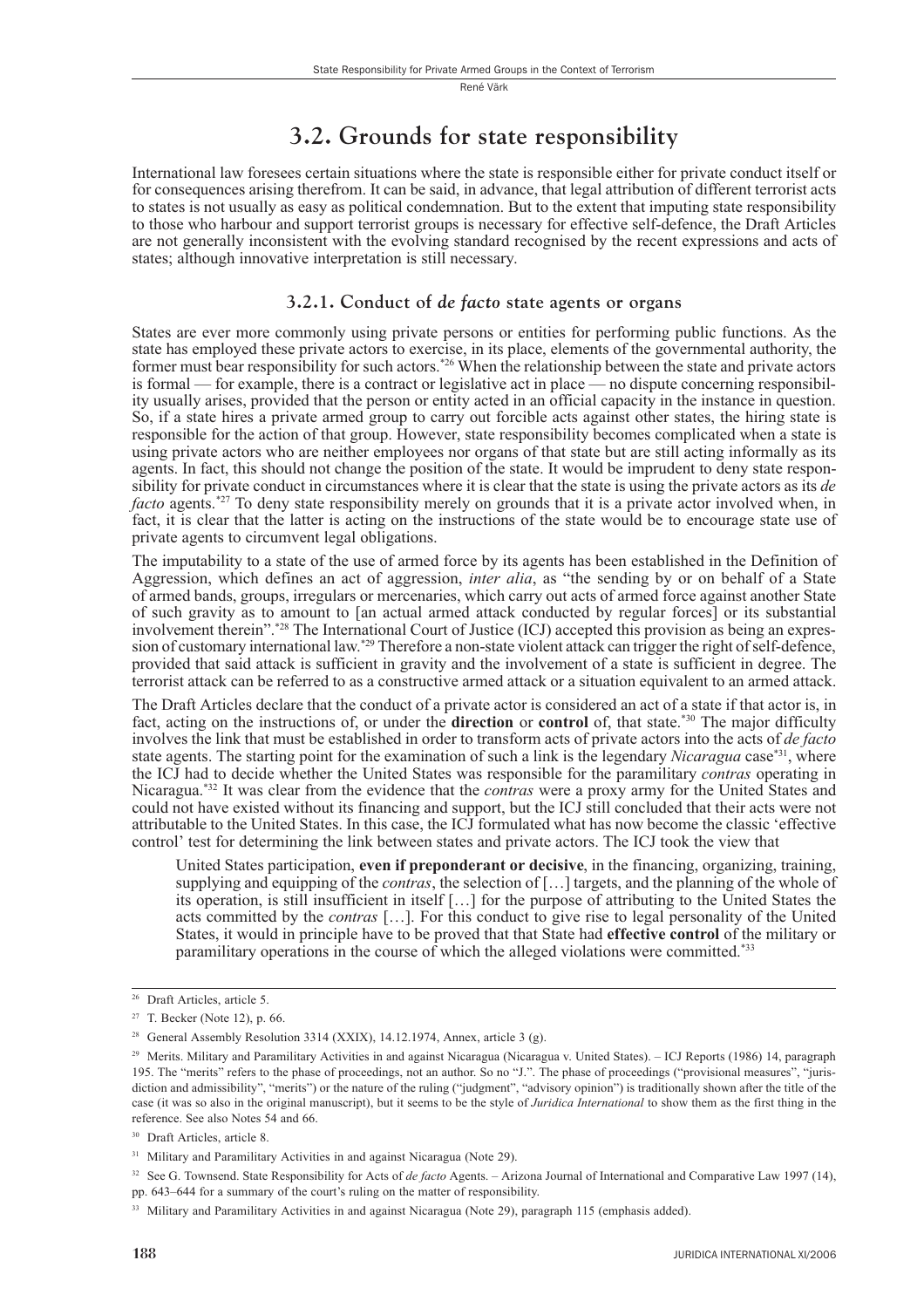## 3.2. Grounds for state responsibility

International law foresees certain situations where the state is responsible either for private conduct itself or for consequences arising therefrom. It can be said, in advance, that legal attribution of different terrorist acts to states is not usually as easy as political condemnation. But to the extent that imputing state responsibility to those who harbour and support terrorist groups is necessary for effective self-defence, the Draft Articles are not generally inconsistent with the evolving standard recognised by the recent expressions and acts of states: although innovative interpretation is still necessary.

#### 3.2.1. Conduct of de facto state agents or organs

States are ever more commonly using private persons or entities for performing public functions. As the state has employed these private actors to exercise, in its place, elements of the governmental authority, the former must bear responsibility for such actors.<sup>\*26</sup> When the relationship between the state and private actors is formal — for example, there is a contract or legislative act in place — no dispute concerning responsibility usually arises, provided that the person or entity acted in an official capacity in the instance in question. So, if a state hires a private armed group to carry out forcible acts against other states, the hiring state is responsible for the action of that group. However, state responsibility becomes complicated when a state is using private actors who are neither employees nor organs of that state but are still acting informally as its agents. In fact, this should not change the position of the state. It would be imprudent to deny state responsibility for private conduct in circumstances where it is clear that the state is using the private actors as its de *facto* agents.<sup>\*27</sup> To deny state responsibility merely on grounds that it is a private actor involved when, in fact, it is clear that the latter is acting on the instructions of the state would be to encourage state use of private agents to circumvent legal obligations.

The imputability to a state of the use of armed force by its agents has been established in the Definition of Aggression, which defines an act of aggression, *inter alia*, as "the sending by or on behalf of a State of armed bands, groups, irregulars or mercenaries, which carry out acts of armed force against another State of such gravity as to amount to [an actual armed attack conducted by regular forces] or its substantial involvement therein".\*28 The International Court of Justice (ICJ) accepted this provision as being an expression of customary international law.\*29 Therefore a non-state violent attack can trigger the right of self-defence, provided that said attack is sufficient in gravity and the involvement of a state is sufficient in degree. The terrorist attack can be referred to as a constructive armed attack or a situation equivalent to an armed attack.

The Draft Articles declare that the conduct of a private actor is considered an act of a state if that actor is, in fact, acting on the instructions of, or under the direction or control of, that state.<sup>\*30</sup> The major difficulty involves the link that must be established in order to transform acts of private actors into the acts of de facto state agents. The starting point for the examination of such a link is the legendary Nicaragua case<sup>\*31</sup>, where the ICJ had to decide whether the United States was responsible for the paramilitary contras operating in Nicaragua.<sup>\*32</sup> It was clear from the evidence that the *contras* were a proxy army for the United States and could not have existed without its financing and support, but the ICJ still concluded that their acts were not attributable to the United States. In this case, the ICJ formulated what has now become the classic 'effective control' test for determining the link between states and private actors. The ICJ took the view that

United States participation, even if preponderant or decisive, in the financing, organizing, training, supplying and equipping of the *contras*, the selection of  $[...]$  targets, and the planning of the whole of its operation, is still insufficient in itself [...] for the purpose of attributing to the United States the acts committed by the *contras* [...]. For this conduct to give rise to legal personality of the United States, it would in principle have to be proved that that State had effective control of the military or paramilitary operations in the course of which the alleged violations were committed.<sup>\*33</sup>

<sup>&</sup>lt;sup>26</sup> Draft Articles, article 5.

<sup>&</sup>lt;sup>27</sup> T. Becker (Note 12), p. 66.

<sup>&</sup>lt;sup>28</sup> General Assembly Resolution 3314 (XXIX), 14.12.1974, Annex, article 3 (g).

<sup>&</sup>lt;sup>29</sup> Merits. Military and Paramilitary Activities in and against Nicaragua (Nicaragua v. United States). - ICJ Reports (1986) 14, paragraph 195. The "merits" refers to the phase of proceedings, not an author. So no "J.". The phase of proceedings ("provisional measures", "jurisdiction and admissibility", "merits") or the nature of the ruling ("judgment", "advisory opinion") is traditionally shown after the title of the case (it was so also in the original manuscript), but it seems to be the style of *Juridica International* to show them as the first thing in the reference. See also Notes 54 and 66.

<sup>&</sup>lt;sup>30</sup> Draft Articles, article 8.

<sup>&</sup>lt;sup>31</sup> Military and Paramilitary Activities in and against Nicaragua (Note 29).

<sup>&</sup>lt;sup>32</sup> See G. Townsend. State Responsibility for Acts of de facto Agents. - Arizona Journal of International and Comparative Law 1997 (14), pp. 643-644 for a summary of the court's ruling on the matter of responsibility.

<sup>&</sup>lt;sup>33</sup> Military and Paramilitary Activities in and against Nicaragua (Note 29), paragraph 115 (emphasis added).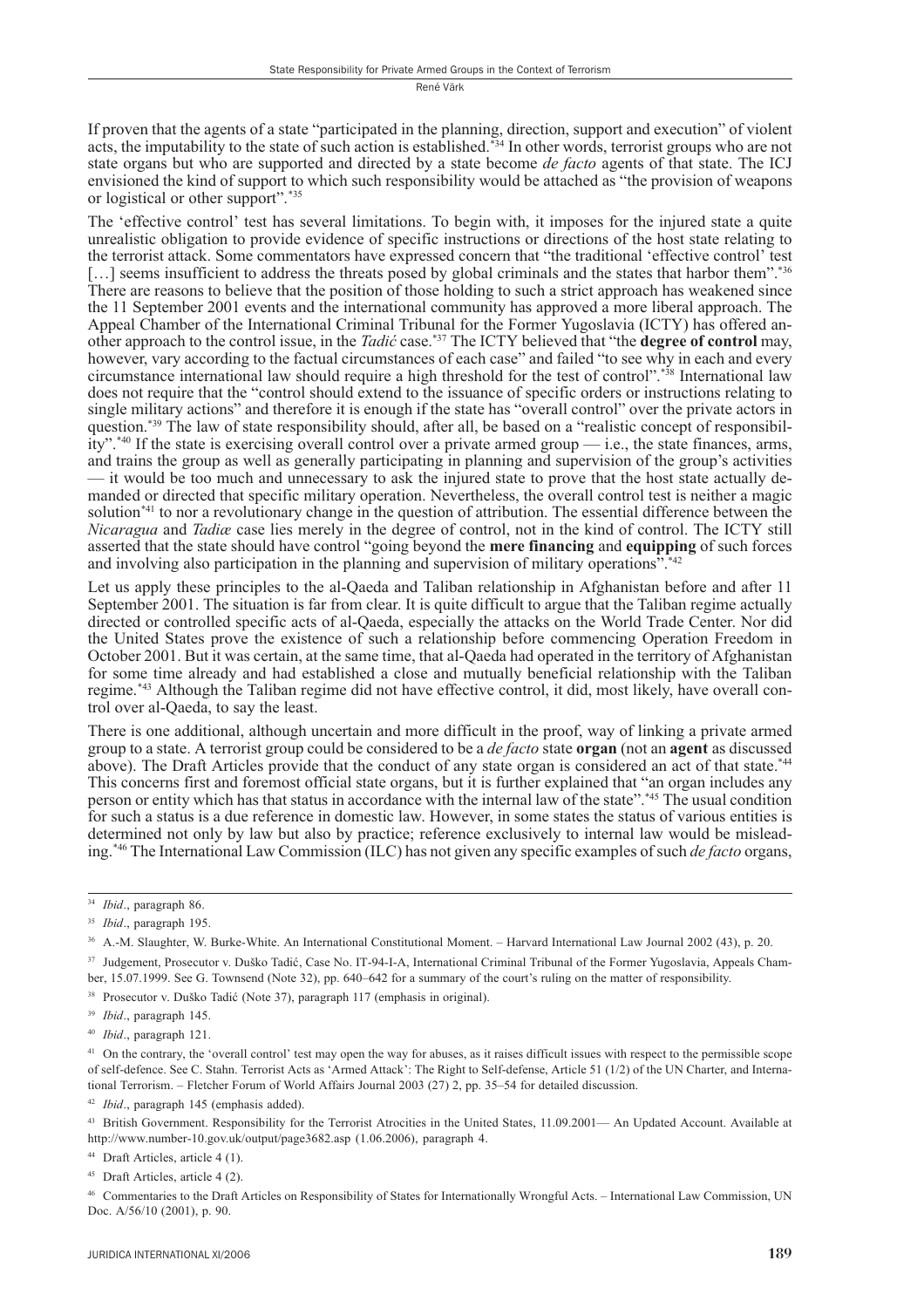If proven that the agents of a state "participated in the planning, direction, support and execution" of violent acts, the imputability to the state of such action is established.<sup>\*34</sup> In other words, terrorist groups who are not state organs but who are supported and directed by a state become *de facto* agents of that state. The ICJ envisioned the kind of support to which such responsibility would be attached as "the provision of weapons" or logistical or other support".\*35

The 'effective control' test has several limitations. To begin with, it imposes for the injured state a quite unrealistic obligation to provide evidence of specific instructions or directions of the host state relating to the terrorist attack. Some commentators have expressed concern that "the traditional 'effective control' test [...] seems insufficient to address the threats posed by global criminals and the states that harbor them".\*36 There are reasons to believe that the position of those holding to such a strict approach has weakened since the 11 September 2001 events and the international community has approved a more liberal approach. The Appeal Chamber of the International Criminal Tribunal for the Former Yugoslavia (ICTY) has offered another approach to the control issue, in the *Tadić* case.<sup>\*37</sup> The ICTY believed that "the **degree of control** may, however, vary according to the factual circumstances of each case" and failed "to see why in each and ever circumstance international law should require a high threshold for the test of control".<sup>\*38</sup> International law does not require that the "control should extend to the issuance of specific orders or instructions relating to single military actions" and therefore it is enough if the state has "overall control" over the private actors in question.\*39 The law of state responsibility should, after all, be based on a "realistic concept of responsibil- $\text{ity"}.$ <sup>\*40</sup> If the state is exercising overall control over a private armed group — i.e., the state finances, arms, and trains the group as well as generally participating in planning and supervision of the group's activities - it would be too much and unnecessary to ask the injured state to prove that the host state actually demanded or directed that specific military operation. Nevertheless, the overall control test is neither a magic solution<sup>\*41</sup> to nor a revolutionary change in the question of attribution. The essential difference between the Nicaragua and Tadiae case lies merely in the degree of control, not in the kind of control. The ICTY still asserted that the state should have control "going beyond the mere financing and equipping of such forces and involving also participation in the planning and supervision of military operations".<sup>\*\*42</sup>

Let us apply these principles to the al-Oaeda and Taliban relationship in Afghanistan before and after 11 September 2001. The situation is far from clear. It is quite difficult to argue that the Taliban regime actually directed or controlled specific acts of al-Qaeda, especially the attacks on the World Trade Center. Nor did the United States prove the existence of such a relationship before commencing Operation Freedom in October 2001. But it was certain, at the same time, that al-Oaeda had operated in the territory of Afghanistan for some time already and had established a close and mutually beneficial relationship with the Taliban regime.<sup>\*43</sup> Although the Taliban regime did not have effective control, it did, most likely, have overall control over al-Oaeda, to say the least.

There is one additional, although uncertain and more difficult in the proof, way of linking a private armed group to a state. A terrorist group could be considered to be a *de facto* state **organ** (not an **agent** as discussed above). The Draft Articles provide that the conduct of any state organ is considered an act of that state.<sup>\*44</sup> This concerns first and foremost official state organs, but it is further explained that "an organ includes any<br>person or entity which has that status in accordance with the internal law of the state".<sup>\*45</sup> The usual condi for such a status is a due reference in domestic law. However, in some states the status of various entities is determined not only by law but also by practice; reference exclusively to internal law would be misleading.<sup>\*46</sup> The International Law Commission (ILC) has not given any specific examples of such *de facto* organs,

<sup>37</sup> Judgement, Prosecutor v. Duško Tadić, Case No. IT-94-I-A, International Criminal Tribunal of the Former Yugoslavia, Appeals Chamber, 15.07.1999. See G. Townsend (Note 32), pp. 640–642 for a summary of the court's ruling on the matter of responsibility.

<sup>38</sup> Prosecutor v. Duško Tadić (Note 37), paragraph 117 (emphasis in original).

<sup>41</sup> On the contrary, the 'overall control' test may open the way for abuses, as it raises difficult issues with respect to the permissible scope of self-defence. See C. Stahn. Terrorist Acts as 'Armed Attack': The Right to Self-defense, Article 51 (1/2) of the UN Charter, and International Terrorism. – Fletcher Forum of World Affairs Journal 2003 (27) 2, pp. 35–54 for detailed discussion.

<sup>42</sup> Ibid., paragraph 145 (emphasis added).

43 British Government. Responsibility for the Terrorist Atrocities in the United States, 11.09.2001— An Updated Account. Available at http://www.number-10.gov.uk/output/page3682.asp (1.06.2006), paragraph 4.

<sup>44</sup> Draft Articles, article 4 (1).

<sup>45</sup> Draft Articles, article 4 (2).

<sup>46</sup> Commentaries to the Draft Articles on Responsibility of States for Internationally Wrongful Acts. – International Law Commission, UN Doc. A/56/10 (2001), p. 90.

<sup>&</sup>lt;sup>34</sup> Ibid., paragraph 86.

<sup>&</sup>lt;sup>35</sup> Ibid., paragraph 195.

<sup>&</sup>lt;sup>36</sup> A.-M. Slaughter, W. Burke-White. An International Constitutional Moment. – Harvard International Law Journal 2002 (43), p. 20.

 $39$  *Ibid.*, paragraph 145.

<sup>&</sup>lt;sup>40</sup> Ibid., paragraph 121.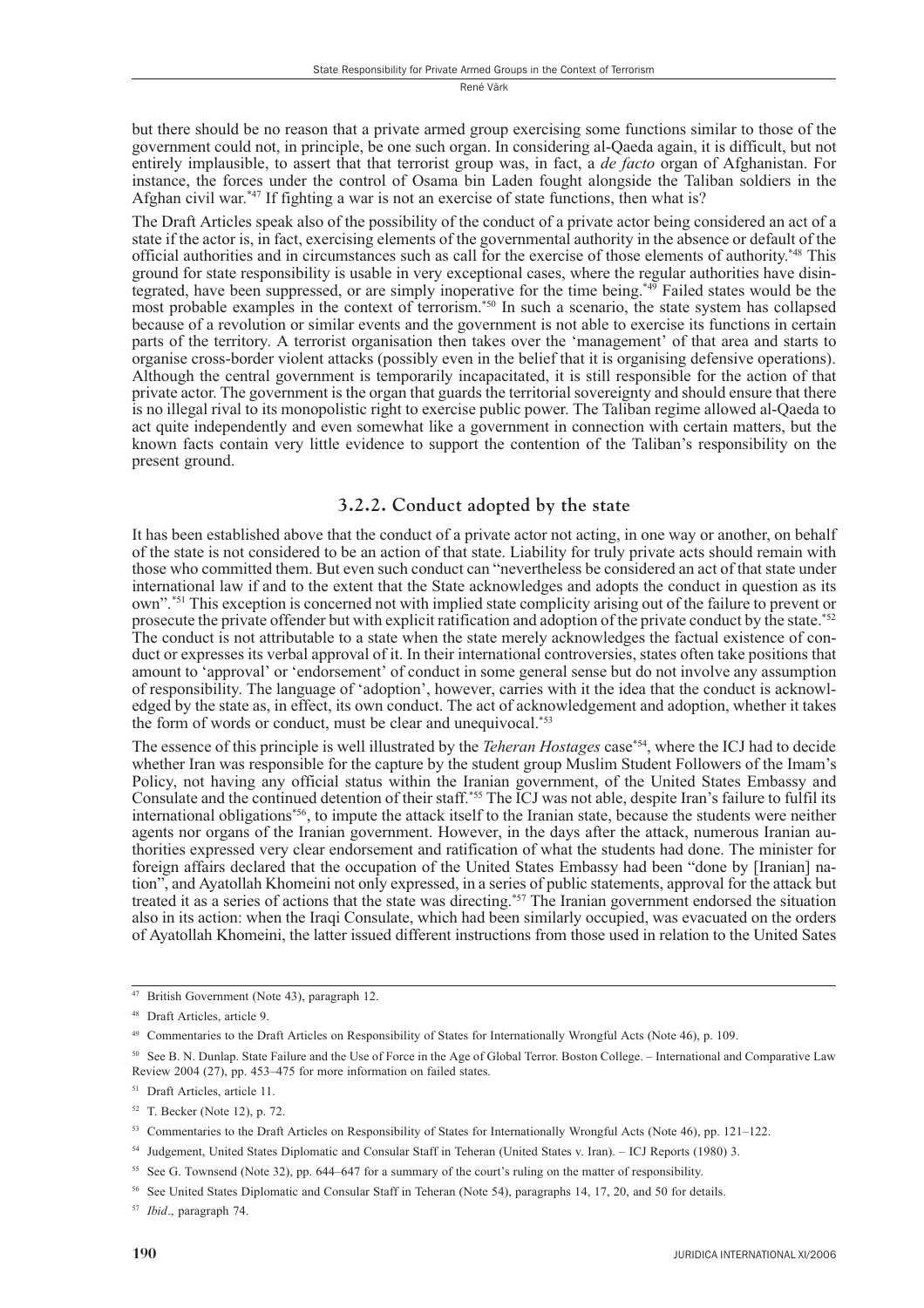but there should be no reason that a private armed group exercising some functions similar to those of the government could not, in principle, be one such organ. In considering al-Qaeda again, it is difficult, but not entirely implausible, to assert that that terrorist group was, in fact, a *de facto* organ of Afghanistan. For instance, the forces under the control of Osama bin Laden fought alongside the Taliban soldiers in the Afghan civil war.\*47 If fighting a war is not an exercise of state functions, then what is?

The Draft Articles speak also of the possibility of the conduct of a private actor being considered an act of a state if the actor is, in fact, exercising elements of the governmental authority in the absence or default of the official authorities and in circumstances such as call for the exercise of those elements of authority.<sup>\*48</sup> This ground for state responsibility is usable in very exceptional cases, where the regular authorities have disintegrated, have been suppressed, or are simply inoperative for the time being.<sup>\*49</sup> Failed states would be the most probable examples in the context of terrorism.<sup>\*50</sup> In such a scenario, the state system has collapsed because of a revolution or similar events and the government is not able to exercise its functions in certain parts of the territory. A terrorist organisation then takes over the 'management' of that area and starts to organise cross-border violent attacks (possibly even in the belief that it is organising defensive operations). Although the central government is temporarily incapacitated, it is still responsible for the action of that private actor. The government is the organ that guards the territorial sovereignty and should ensure that there is no illegal rival to its monopolistic right to exercise public power. The Taliban regime allowed al-Oaeda to act quite independently and even somewhat like a government in connection with certain matters, but the known facts contain very little evidence to support the contention of the Taliban's responsibility on the present ground.

#### 3.2.2. Conduct adopted by the state

It has been established above that the conduct of a private actor not acting, in one way or another, on behalf of the state is not considered to be an action of that state. Liability for truly private acts should remain with those who committed them. But even such conduct can "nevertheless be considered an act of that state under international law if and to the extent that the State acknowledges and adopts the conduct in question as its own".<sup>\*51</sup> This exception is concerned not with implied state complicity arising out of the failure to prevent or prosecute the private offender but with explicit ratification and adoption of the private conduct by the state.<sup>\*52</sup> The conduct is not attributable to a state when the state merely acknowledges the factual existence of conduct or expresses its verbal approval of it. In their international controversies, states often take positions that amount to 'approval' or 'endorsement' of conduct in some general sense but do not involve any assumption of responsibility. The language of 'adoption', however, carries with it the idea that the conduct is acknowledged by the state as, in effect, its own conduct. The act of acknowledgement and adoption, whether it takes the form of words or conduct, must be clear and unequivocal.\*53

The essence of this principle is well illustrated by the *Teheran Hostages* case<sup>\*54</sup>, where the ICJ had to decide whether Iran was responsible for the capture by the student group Muslim Student Followers of the Imam's Policy, not having any official status within the Iranian government, of the United States Embassy and Consulate and the continued detention of their staff,<sup>\*55</sup> The ICJ was not able, despite Iran's failure to fulfil its international obligations\*56, to impute the attack itself to the Iranian state, because the students were neither agents nor organs of the Iranian government. However, in the days after the attack, numerous Iranian authorities expressed very clear endorsement and ratification of what the students had done. The minister for foreign affairs declared that the occupation of the United States Embassy had been "done by [Iranian] nation", and Ayatollah Khomeini not only expressed, in a series of public statements, approval for the attack but treated it as a series of actions that the state was directing.<sup>\*57</sup> The Iranian government endorsed the situation also in its action: when the Iraqi Consulate, which had been similarly occupied, was evacuated on the orders of Ayatollah Khomeini, the latter issued different instructions from those used in relation to the United Sates

<sup>55</sup> See G. Townsend (Note 32), pp. 644–647 for a summary of the court's ruling on the matter of responsibility.

<sup>57</sup> Ibid., paragraph 74.

<sup>&</sup>lt;sup>47</sup> British Government (Note 43), paragraph 12.

<sup>&</sup>lt;sup>48</sup> Draft Articles article 9

<sup>&</sup>lt;sup>49</sup> Commentaries to the Draft Articles on Responsibility of States for Internationally Wrongful Acts (Note 46), p. 109.

<sup>&</sup>lt;sup>50</sup> See B. N. Dunlap. State Failure and the Use of Force in the Age of Global Terror. Boston College. – International and Comparative Law Review 2004 (27), pp. 453-475 for more information on failed states.

<sup>&</sup>lt;sup>51</sup> Draft Articles, article 11.

<sup>&</sup>lt;sup>52</sup> T. Becker (Note 12), p. 72.

<sup>&</sup>lt;sup>53</sup> Commentaries to the Draft Articles on Responsibility of States for Internationally Wrongful Acts (Note 46), pp. 121-122.

<sup>&</sup>lt;sup>54</sup> Judgement, United States Diplomatic and Consular Staff in Teheran (United States v. Iran). – ICJ Reports (1980) 3.

<sup>&</sup>lt;sup>56</sup> See United States Diplomatic and Consular Staff in Teheran (Note 54), paragraphs 14, 17, 20, and 50 for details.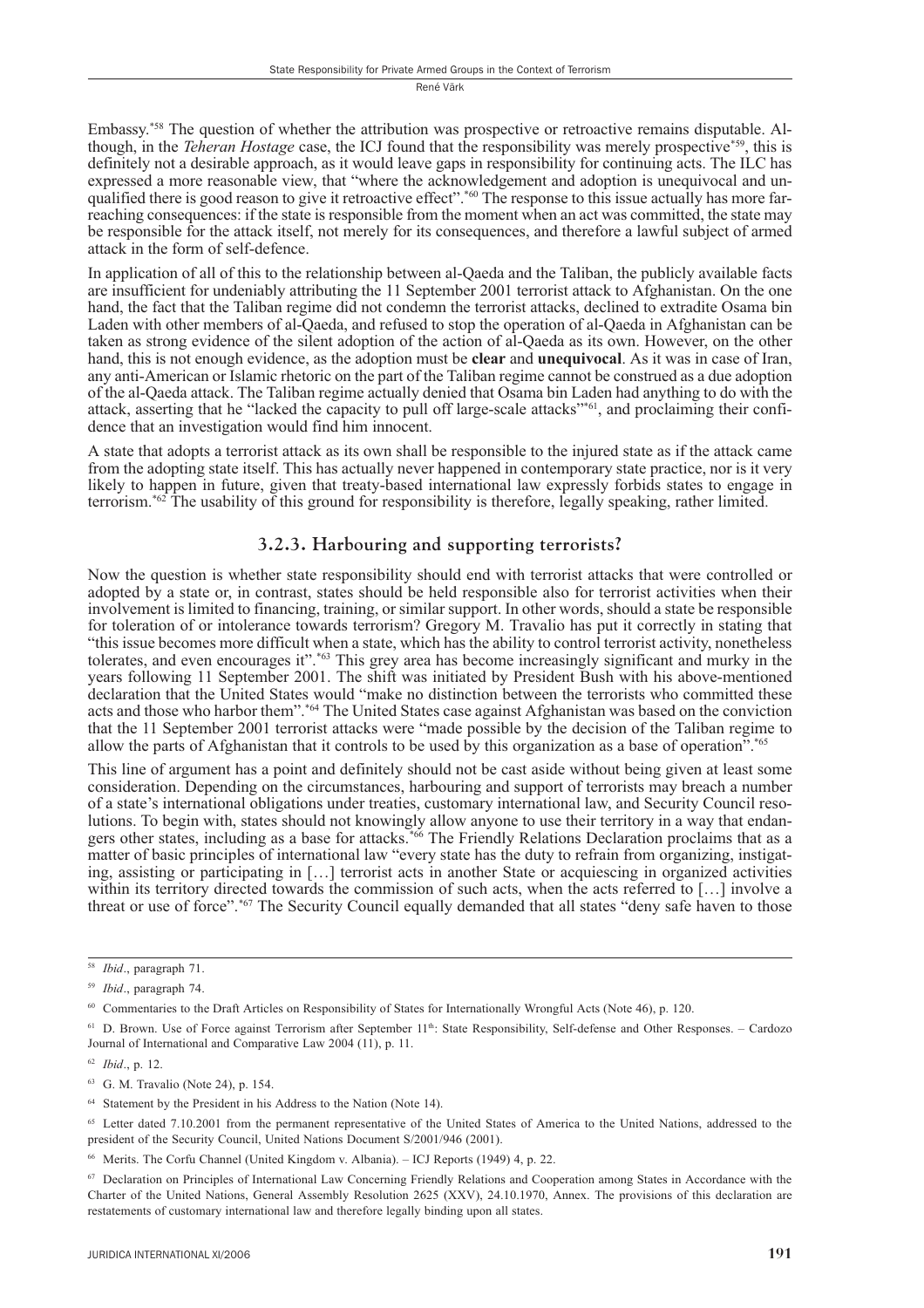Embassy.<sup>\*58</sup> The question of whether the attribution was prospective or retroactive remains disputable. Although, in the *Teheran Hostage* case, the ICJ found that the responsibility was merely prospective<sup>\*59</sup>, this is definitely not a desirable approach, as it would leave gaps in responsibility for continuing acts. The ILC has expressed a more reasonable view, that "where the acknowledgement and adoption is unequivocal and unqualified there is good reason to give it retroactive effect".<sup>\*60</sup> The response to this issue actually has more farreaching consequences: if the state is responsible from the moment when an act was committed, the state may be responsible for the attack itself, not merely for its consequences, and therefore a lawful subject of armed attack in the form of self-defence.

In application of all of this to the relationship between al-Qaeda and the Taliban, the publicly available facts are insufficient for undeniably attributing the 11 September 2001 terrorist attack to Afghanistan. On the one hand, the fact that the Taliban regime did not condemn the terrorist attacks, declined to extradite Osama bin Laden with other members of al-Qaeda, and refused to stop the operation of al-Qaeda in Afghanistan can be taken as strong evidence of the silent adoption of the action of al-Qaeda as its own. However, on the other hand, this is not enough evidence, as the adoption must be clear and unequivocal. As it was in case of Iran, any anti-American or Islamic rhetoric on the part of the Taliban regime cannot be construed as a due adoption of the al-Qaeda attack. The Taliban regime actually denied that Osama bin Laden had anything to do with the attack, asserting that he "lacked the capacity to pull off large-scale attacks"<sup>\*61</sup>, and proclaiming their confidence that an investigation would find him innocent.

A state that adopts a terrorist attack as its own shall be responsible to the injured state as if the attack came from the adopting state itself. This has actually never happened in contemporary state practice, nor is it very likely to happen in future, given that treaty-based international law expressly forbids states to engage in terrorism.<sup>\*62</sup> The usability of this ground for responsibility is therefore, legally speaking, rather limited.

#### 3.2.3. Harbouring and supporting terrorists?

Now the question is whether state responsibility should end with terrorist attacks that were controlled or adopted by a state or, in contrast, states should be held responsible also for terrorist activities when their involvement is limited to financing, training, or similar support. In other words, should a state be responsible for toleration of or intolerance towards terrorism? Gregory M. Travalio has put it correctly in stating that "this issue becomes more difficult when a state, which has the ability to control terrorist activity, nonetheless tolerates, and even encourages it".<sup>\*63</sup> This grey area has become increasingly significant and murky in the years following 11 September 2001. The shift was initiated by President Bush with his above-mentioned declaration that the United States would "make no distinction between the terrorists who committed these acts and those who harbor them", \*64 The United States case against Afghanistan was based on the conviction that the 11 September 2001 terrorist attacks were "made possible by the decision of the Taliban regime to allow the parts of Afghanistan that it controls to be used by this organization as a base of operation".<sup>\*65</sup>

This line of argument has a point and definitely should not be cast aside without being given at least some consideration. Depending on the circumstances, harbouring and support of terrorists may breach a number of a state's international obligations under treaties, customary international law, and Security Council resolutions. To begin with, states should not knowingly allow anyone to use their territory in a way that endangers other states, including as a base for attacks.<sup>\*66</sup> The Friendly Relations Declaration proclaims that as a matter of basic principles of international law "every state has the duty to refrain from organizing, instigating, assisting or participating in [...] terrorist acts in another State or acquiescing in organized activities within its territory directed towards the commission of such acts, when the acts referred to [...] involve a threat or use of force".\*67 The Security Council equally demanded that all states "deny safe haven to those

<sup>&</sup>lt;sup>58</sup> *Ibid.*, paragraph 71.

<sup>&</sup>lt;sup>59</sup> *Ibid.*, paragraph 74.

 $60$  Commentaries to the Draft Articles on Responsibility of States for Internationally Wrongful Acts (Note 46), p. 120.

<sup>&</sup>lt;sup>61</sup> D. Brown. Use of Force against Terrorism after September 11<sup>th</sup>: State Responsibility, Self-defense and Other Responses. - Cardozo Journal of International and Comparative Law 2004 (11), p. 11.

 $62$  *Ibid.*, p. 12.

<sup>&</sup>lt;sup>63</sup> G. M. Travalio (Note 24), p. 154.

<sup>&</sup>lt;sup>64</sup> Statement by the President in his Address to the Nation (Note 14).

<sup>&</sup>lt;sup>65</sup> Letter dated 7.10.2001 from the permanent representative of the United States of America to the United Nations, addressed to the president of the Security Council, United Nations Document S/2001/946 (2001).

Merits. The Corfu Channel (United Kingdom v. Albania). - ICJ Reports (1949) 4, p. 22.

Declaration on Principles of International Law Concerning Friendly Relations and Cooperation among States in Accordance with the 67 Charter of the United Nations, General Assembly Resolution 2625 (XXV), 24.10.1970, Annex. The provisions of this declaration are restatements of customary international law and therefore legally binding upon all states.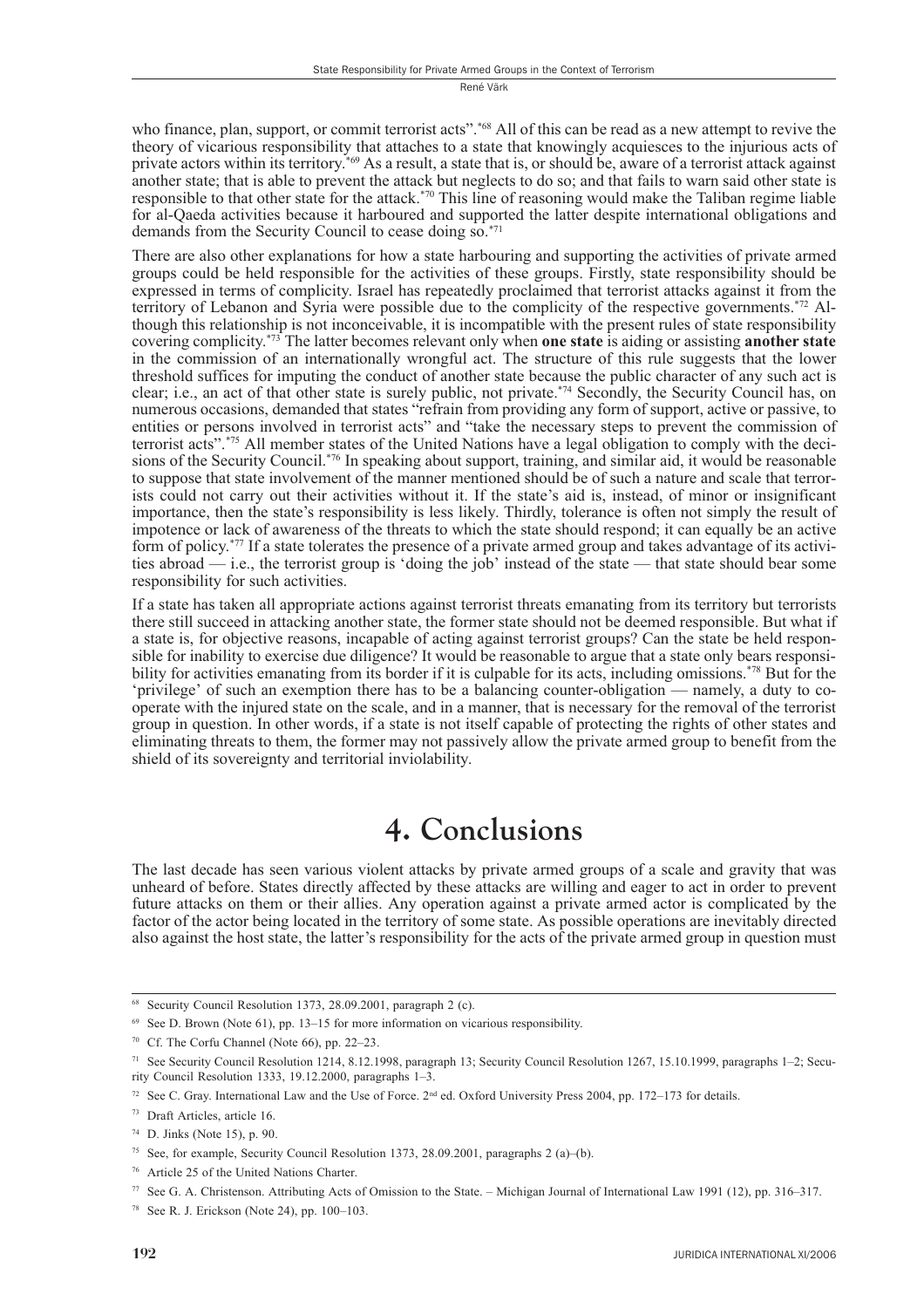who finance, plan, support, or commit terrorist acts".<sup>\*68</sup> All of this can be read as a new attempt to revive the theory of vicarious responsibility that attaches to a state that knowingly acquiesces to the injurious acts of private actors within its territory.<sup>\*69</sup> As a result, a state that is, or should be, aware of a terrorist attack against another state; that is able to prevent the attack but neglects to do so; and that fails to warn said other state is responsible to that other state for the attack.<sup>\*70</sup> This line of reasoning would make the Taliban regime liable for al-Oaeda activities because it harboured and supported the latter despite international obligations and demands from the Security Council to cease doing so.<sup>\*71</sup>

There are also other explanations for how a state harbouring and supporting the activities of private armed groups could be held responsible for the activities of these groups. Firstly, state responsibility should be expressed in terms of complicity. Israel has repeatedly proclaimed that terrorist attacks against it from the territory of Lebanon and Syria were possible due to the complicity of the respective governments.<sup>\*72</sup> Although this relationship is not inconceivable, it is incompatible with the present rules of state responsibility covering complicity.<sup> $*73$ </sup> The latter becomes relevant only when **one state** is aiding or assisting **another state** in the commission of an internationally wrongful act. The structure of this rule suggests that the lower threshold suffices for imputing the conduct of another state because the public character of any such act is clear; i.e., an act of that other state is surely public, not private.<sup>\*74</sup> Secondly, the Security Council has, on<br>numerous occasions, demanded that states "refrain from providing any form of support, active or passive, to entities or persons involved in terrorist acts" and "take the necessary steps to prevent the commission of terrorist acts".<sup>\*75</sup> All member states of the United Nations have a legal obligation to comply with the decisions of the Security Council.<sup>\*76</sup> In speaking about support, training, and similar aid, it would be reasonable to suppose that state involvement of the manner mentioned should be of such a nature and scale that terrorists could not carry out their activities without it. If the state's aid is, instead, of minor or insignificant importance, then the state's responsibility is less likely. Thirdly, tolerance is often not simply the result of impotence or lack of awareness of the threats to which the state should respond; it can equally be an active form of policy.<sup>\*77</sup> If a state tolerates the presence of a private armed group and takes advantage of its activities abroad — i.e., the terrorist group is 'doing the job' instead of the state — that state should bear some responsibility for such activities.

If a state has taken all appropriate actions against terrorist threats emanating from its territory but terrorists there still succeed in attacking another state, the former state should not be deemed responsible. But what if a state is, for objective reasons, incapable of acting against terrorist groups? Can the state be held responsible for inability to exercise due diligence? It would be reasonable to argue that a state only bears responsibility for activities emanating from its border if it is culpable for its acts, including omissions.<sup>\*78</sup> But for the 'privilege' of such an exemption there has to be a balancing counter-obligation — namely, a duty to cooperate with the injured state on the scale, and in a manner, that is necessary for the removal of the terrorist group in question. In other words, if a state is not itself capable of protecting the rights of other states and eliminating threats to them, the former may not passively allow the private armed group to benefit from the shield of its sovereignty and territorial inviolability.

## 4. Conclusions

The last decade has seen various violent attacks by private armed groups of a scale and gravity that was unheard of before. States directly affected by these attacks are willing and eager to act in order to prevent future attacks on them or their allies. Any operation against a private armed actor is complicated by the factor of the actor being located in the territory of some state. As possible operations are inevitably directed also against the host state, the latter's responsibility for the acts of the private armed group in question must

<sup>&</sup>lt;sup>68</sup> Security Council Resolution 1373, 28.09.2001, paragraph 2 (c).

 $69$  See D. Brown (Note 61), pp. 13–15 for more information on vicarious responsibility.

<sup>&</sup>lt;sup>70</sup> Cf. The Corfu Channel (Note 66), pp. 22–23.

<sup>&</sup>lt;sup>71</sup> See Security Council Resolution 1214, 8.12.1998, paragraph 13; Security Council Resolution 1267, 15.10.1999, paragraphs 1-2; Security Council Resolution 1333, 19.12.2000, paragraphs 1-3.

<sup>&</sup>lt;sup>72</sup> See C. Gray. International Law and the Use of Force. 2<sup>nd</sup> ed. Oxford University Press 2004, pp. 172–173 for details.

<sup>&</sup>lt;sup>73</sup> Draft Articles, article 16.

 $74$  D. Jinks (Note 15), p. 90.

<sup>&</sup>lt;sup>75</sup> See, for example, Security Council Resolution 1373, 28.09.2001, paragraphs 2 (a)–(b).

<sup>&</sup>lt;sup>76</sup> Article 25 of the United Nations Charter.

<sup>77</sup> See G. A. Christenson. Attributing Acts of Omission to the State. - Michigan Journal of International Law 1991 (12), pp. 316-317.

<sup>&</sup>lt;sup>78</sup> See R. J. Erickson (Note 24), pp. 100–103.